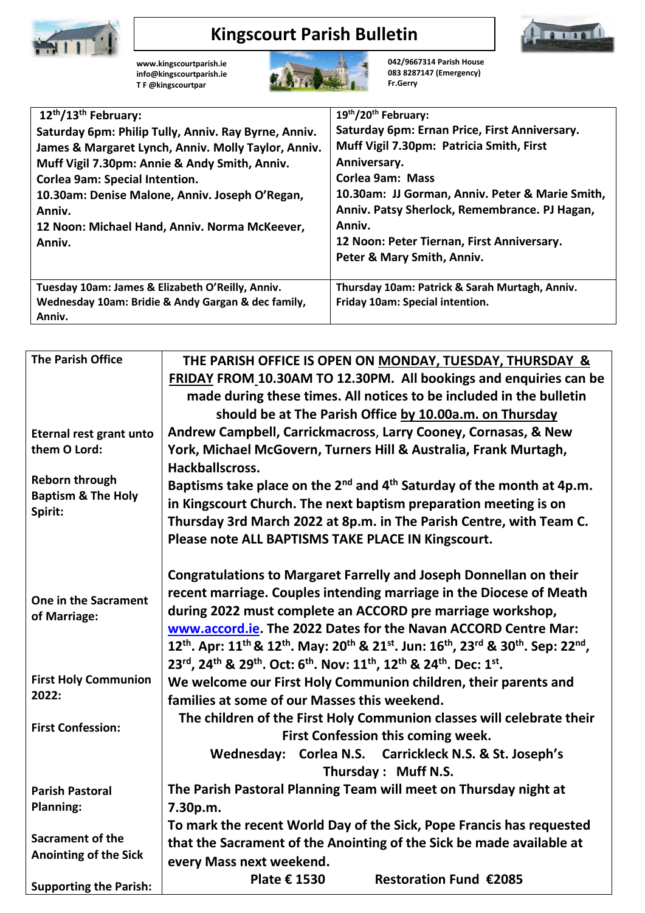

## **Kingscourt Parish Bulletin**



**[www.kingscourtparish.ie](http://www.kingscourtparish.ie/) info@kingscourtparish.ie T F @kingscourtpar** 



**042/9667314 Parish House 083 8287147 (Emergency) Fr.Gerry**

| 12 <sup>th</sup> /13 <sup>th</sup> February:         | 19th/20th February:                             |
|------------------------------------------------------|-------------------------------------------------|
| Saturday 6pm: Philip Tully, Anniv. Ray Byrne, Anniv. | Saturday 6pm: Ernan Price, First Anniversary.   |
| James & Margaret Lynch, Anniv. Molly Taylor, Anniv.  | Muff Vigil 7.30pm: Patricia Smith, First        |
| Muff Vigil 7.30pm: Annie & Andy Smith, Anniv.        | Anniversary.                                    |
| <b>Corlea 9am: Special Intention.</b>                | <b>Corlea 9am: Mass</b>                         |
| 10.30am: Denise Malone, Anniv. Joseph O'Regan,       | 10.30am: JJ Gorman, Anniv. Peter & Marie Smith, |
| Anniv.                                               | Anniv. Patsy Sherlock, Remembrance. PJ Hagan,   |
| 12 Noon: Michael Hand, Anniv. Norma McKeever,        | Anniv.                                          |
| Anniv.                                               | 12 Noon: Peter Tiernan, First Anniversary.      |
|                                                      | Peter & Mary Smith, Anniv.                      |
| Tuesday 10am: James & Elizabeth O'Reilly, Anniv.     | Thursday 10am: Patrick & Sarah Murtagh, Anniv.  |
| Wednesday 10am: Bridie & Andy Gargan & dec family,   | Friday 10am: Special intention.                 |
| Anniv.                                               |                                                 |

| <b>The Parish Office</b>       | THE PARISH OFFICE IS OPEN ON MONDAY, TUESDAY, THURSDAY &                                                                                                                                       |
|--------------------------------|------------------------------------------------------------------------------------------------------------------------------------------------------------------------------------------------|
|                                | FRIDAY FROM 10.30AM TO 12.30PM. All bookings and enquiries can be<br>made during these times. All notices to be included in the bulletin                                                       |
|                                |                                                                                                                                                                                                |
|                                | should be at The Parish Office by 10.00a.m. on Thursday                                                                                                                                        |
| <b>Eternal rest grant unto</b> | Andrew Campbell, Carrickmacross, Larry Cooney, Cornasas, & New                                                                                                                                 |
| them O Lord:                   | York, Michael McGovern, Turners Hill & Australia, Frank Murtagh,                                                                                                                               |
| <b>Reborn through</b>          | Hackballscross.                                                                                                                                                                                |
| <b>Baptism &amp; The Holy</b>  | Baptisms take place on the $2^{nd}$ and $4^{th}$ Saturday of the month at 4p.m.                                                                                                                |
| Spirit:                        | in Kingscourt Church. The next baptism preparation meeting is on                                                                                                                               |
|                                | Thursday 3rd March 2022 at 8p.m. in The Parish Centre, with Team C.                                                                                                                            |
|                                | Please note ALL BAPTISMS TAKE PLACE IN Kingscourt.                                                                                                                                             |
|                                | <b>Congratulations to Margaret Farrelly and Joseph Donnellan on their</b>                                                                                                                      |
| One in the Sacrament           | recent marriage. Couples intending marriage in the Diocese of Meath                                                                                                                            |
| of Marriage:                   | during 2022 must complete an ACCORD pre marriage workshop,                                                                                                                                     |
|                                | www.accord.ie. The 2022 Dates for the Navan ACCORD Centre Mar:                                                                                                                                 |
|                                | 12 <sup>th</sup> . Apr: 11 <sup>th</sup> & 12 <sup>th</sup> . May: 20 <sup>th</sup> & 21 <sup>st</sup> . Jun: 16 <sup>th</sup> , 23 <sup>rd</sup> & 30 <sup>th</sup> . Sep: 22 <sup>nd</sup> , |
|                                | 23rd, 24th & 29th. Oct: 6th. Nov: 11th, 12th & 24th. Dec: 1st.                                                                                                                                 |
| <b>First Holy Communion</b>    | We welcome our First Holy Communion children, their parents and                                                                                                                                |
| 2022:                          | families at some of our Masses this weekend.                                                                                                                                                   |
| <b>First Confession:</b>       | The children of the First Holy Communion classes will celebrate their                                                                                                                          |
|                                | First Confession this coming week.                                                                                                                                                             |
|                                | Wednesday: Corlea N.S. Carrickleck N.S. & St. Joseph's                                                                                                                                         |
|                                | Thursday: Muff N.S.                                                                                                                                                                            |
| <b>Parish Pastoral</b>         | The Parish Pastoral Planning Team will meet on Thursday night at                                                                                                                               |
| <b>Planning:</b>               | 7.30p.m.                                                                                                                                                                                       |
|                                | To mark the recent World Day of the Sick, Pope Francis has requested                                                                                                                           |
| <b>Sacrament of the</b>        | that the Sacrament of the Anointing of the Sick be made available at                                                                                                                           |
| <b>Anointing of the Sick</b>   | every Mass next weekend.                                                                                                                                                                       |
| <b>Supporting the Parish:</b>  | Plate € 1530<br><b>Restoration Fund €2085</b>                                                                                                                                                  |
|                                |                                                                                                                                                                                                |